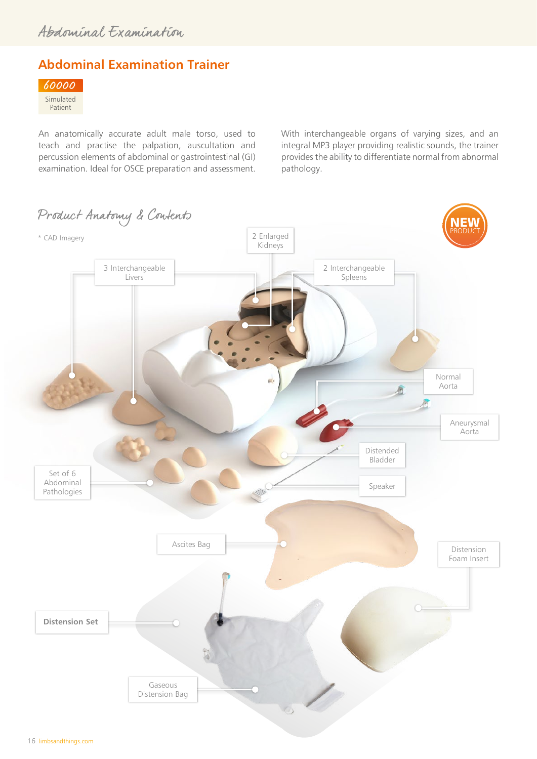# **Abdominal Examination Trainer**



An anatomically accurate adult male torso, used to teach and practise the palpation, auscultation and percussion elements of abdominal or gastrointestinal (GI) examination. Ideal for OSCE preparation and assessment. With interchangeable organs of varying sizes, and an integral MP3 player providing realistic sounds, the trainer provides the ability to differentiate normal from abnormal pathology.